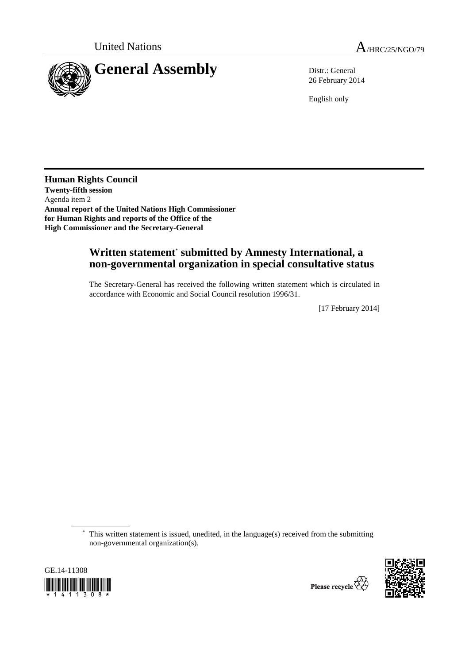

26 February 2014

English only

**Human Rights Council Twenty-fifth session**  Agenda item 2 **Annual report of the United Nations High Commissioner for Human Rights and reports of the Office of the High Commissioner and the Secretary-General** 

## **Written statement**\*  **submitted by Amnesty International, a non-governmental organization in special consultative status**

The Secretary-General has received the following written statement which is circulated in accordance with Economic and Social Council resolution 1996/31.

[17 February 2014]

 \* This written statement is issued, unedited, in the language(s) received from the submitting non-governmental organization(s).



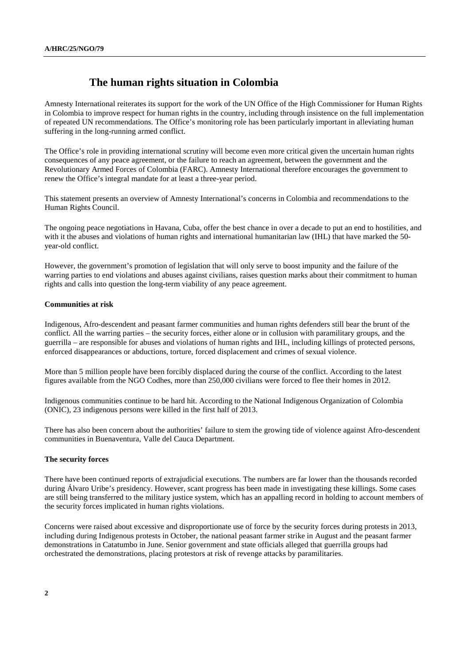# **The human rights situation in Colombia**

Amnesty International reiterates its support for the work of the UN Office of the High Commissioner for Human Rights in Colombia to improve respect for human rights in the country, including through insistence on the full implementation of repeated UN recommendations. The Office's monitoring role has been particularly important in alleviating human suffering in the long-running armed conflict.

The Office's role in providing international scrutiny will become even more critical given the uncertain human rights consequences of any peace agreement, or the failure to reach an agreement, between the government and the Revolutionary Armed Forces of Colombia (FARC). Amnesty International therefore encourages the government to renew the Office's integral mandate for at least a three-year period.

This statement presents an overview of Amnesty International's concerns in Colombia and recommendations to the Human Rights Council.

The ongoing peace negotiations in Havana, Cuba, offer the best chance in over a decade to put an end to hostilities, and with it the abuses and violations of human rights and international humanitarian law (IHL) that have marked the 50 year-old conflict.

However, the government's promotion of legislation that will only serve to boost impunity and the failure of the warring parties to end violations and abuses against civilians, raises question marks about their commitment to human rights and calls into question the long-term viability of any peace agreement.

## **Communities at risk**

Indigenous, Afro-descendent and peasant farmer communities and human rights defenders still bear the brunt of the conflict. All the warring parties – the security forces, either alone or in collusion with paramilitary groups, and the guerrilla – are responsible for abuses and violations of human rights and IHL, including killings of protected persons, enforced disappearances or abductions, torture, forced displacement and crimes of sexual violence.

More than 5 million people have been forcibly displaced during the course of the conflict. According to the latest figures available from the NGO Codhes, more than 250,000 civilians were forced to flee their homes in 2012.

Indigenous communities continue to be hard hit. According to the National Indigenous Organization of Colombia (ONIC), 23 indigenous persons were killed in the first half of 2013.

There has also been concern about the authorities' failure to stem the growing tide of violence against Afro-descendent communities in Buenaventura, Valle del Cauca Department.

#### **The security forces**

There have been continued reports of extrajudicial executions. The numbers are far lower than the thousands recorded during Álvaro Uribe's presidency. However, scant progress has been made in investigating these killings. Some cases are still being transferred to the military justice system, which has an appalling record in holding to account members of the security forces implicated in human rights violations.

Concerns were raised about excessive and disproportionate use of force by the security forces during protests in 2013, including during Indigenous protests in October, the national peasant farmer strike in August and the peasant farmer demonstrations in Catatumbo in June. Senior government and state officials alleged that guerrilla groups had orchestrated the demonstrations, placing protestors at risk of revenge attacks by paramilitaries.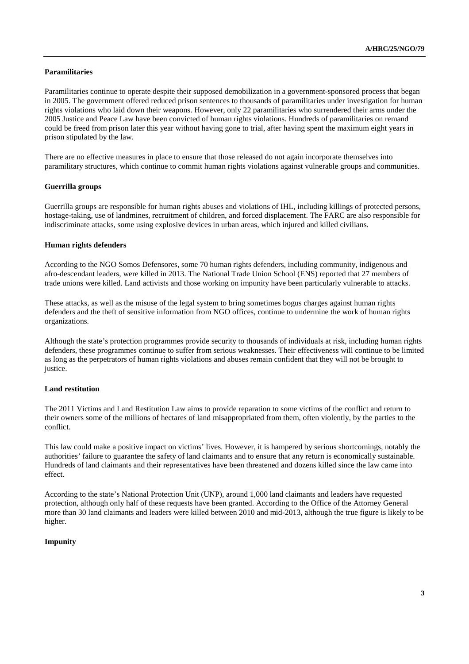#### **Paramilitaries**

Paramilitaries continue to operate despite their supposed demobilization in a government-sponsored process that began in 2005. The government offered reduced prison sentences to thousands of paramilitaries under investigation for human rights violations who laid down their weapons. However, only 22 paramilitaries who surrendered their arms under the 2005 Justice and Peace Law have been convicted of human rights violations. Hundreds of paramilitaries on remand could be freed from prison later this year without having gone to trial, after having spent the maximum eight years in prison stipulated by the law.

There are no effective measures in place to ensure that those released do not again incorporate themselves into paramilitary structures, which continue to commit human rights violations against vulnerable groups and communities.

### **Guerrilla groups**

Guerrilla groups are responsible for human rights abuses and violations of IHL, including killings of protected persons, hostage-taking, use of landmines, recruitment of children, and forced displacement. The FARC are also responsible for indiscriminate attacks, some using explosive devices in urban areas, which injured and killed civilians.

### **Human rights defenders**

According to the NGO Somos Defensores, some 70 human rights defenders, including community, indigenous and afro-descendant leaders, were killed in 2013. The National Trade Union School (ENS) reported that 27 members of trade unions were killed. Land activists and those working on impunity have been particularly vulnerable to attacks.

These attacks, as well as the misuse of the legal system to bring sometimes bogus charges against human rights defenders and the theft of sensitive information from NGO offices, continue to undermine the work of human rights organizations.

Although the state's protection programmes provide security to thousands of individuals at risk, including human rights defenders, these programmes continue to suffer from serious weaknesses. Their effectiveness will continue to be limited as long as the perpetrators of human rights violations and abuses remain confident that they will not be brought to justice.

#### **Land restitution**

The 2011 Victims and Land Restitution Law aims to provide reparation to some victims of the conflict and return to their owners some of the millions of hectares of land misappropriated from them, often violently, by the parties to the conflict.

This law could make a positive impact on victims' lives. However, it is hampered by serious shortcomings, notably the authorities' failure to guarantee the safety of land claimants and to ensure that any return is economically sustainable. Hundreds of land claimants and their representatives have been threatened and dozens killed since the law came into effect.

According to the state's National Protection Unit (UNP), around 1,000 land claimants and leaders have requested protection, although only half of these requests have been granted. According to the Office of the Attorney General more than 30 land claimants and leaders were killed between 2010 and mid-2013, although the true figure is likely to be higher.

#### **Impunity**